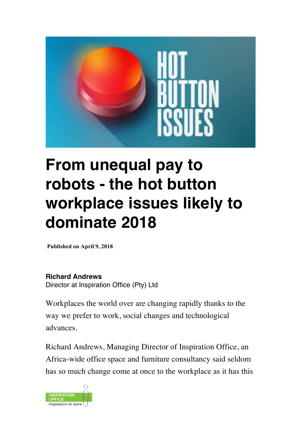

# **From unequal pay to robots - the hot button workplace issues likely to dominate 2018**

**Published on April 9, 2018**

**Richard Andrews**

Director at Inspiration Office (Pty) Ltd

Workplaces the world over are changing rapidly thanks to the way we prefer to work, social changes and technological advances.

Richard Andrews, Managing Director of Inspiration Office, an Africa-wide office space and furniture consultancy said seldom has so much change come at once to the workplace as it has this

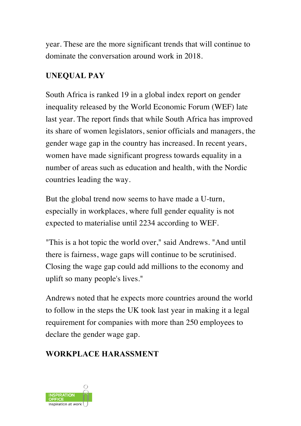year. These are the more significant trends that will continue to dominate the conversation around work in 2018.

#### **UNEQUAL PAY**

South Africa is ranked 19 in a global index report on gender inequality released by the World Economic Forum (WEF) late last year. The report finds that while South Africa has improved its share of women legislators, senior officials and managers, the gender wage gap in the country has increased. In recent years, women have made significant progress towards equality in a number of areas such as education and health, with the Nordic countries leading the way.

But the global trend now seems to have made a U-turn, especially in workplaces, where full gender equality is not expected to materialise until 2234 according to WEF.

"This is a hot topic the world over," said Andrews. "And until there is fairness, wage gaps will continue to be scrutinised. Closing the wage gap could add millions to the economy and uplift so many people's lives."

Andrews noted that he expects more countries around the world to follow in the steps the UK took last year in making it a legal requirement for companies with more than 250 employees to declare the gender wage gap.

### **WORKPLACE HARASSMENT**

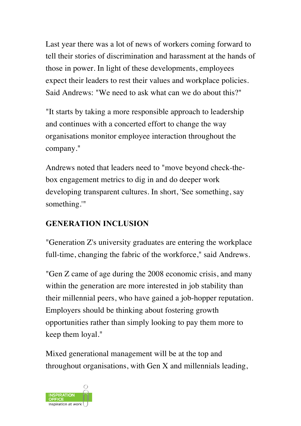Last year there was a lot of news of workers coming forward to tell their stories of discrimination and harassment at the hands of those in power. In light of these developments, employees expect their leaders to rest their values and workplace policies. Said Andrews: "We need to ask what can we do about this?"

"It starts by taking a more responsible approach to leadership and continues with a concerted effort to change the way organisations monitor employee interaction throughout the company."

Andrews noted that leaders need to "move beyond check-thebox engagement metrics to dig in and do deeper work developing transparent cultures. In short, 'See something, say something.'"

### **GENERATION INCLUSION**

"Generation Z's university graduates are entering the workplace full-time, changing the fabric of the workforce," said Andrews.

"Gen Z came of age during the 2008 economic crisis, and many within the generation are more interested in job stability than their millennial peers, who have gained a job-hopper reputation. Employers should be thinking about fostering growth opportunities rather than simply looking to pay them more to keep them loyal."

Mixed generational management will be at the top and throughout organisations, with Gen X and millennials leading,

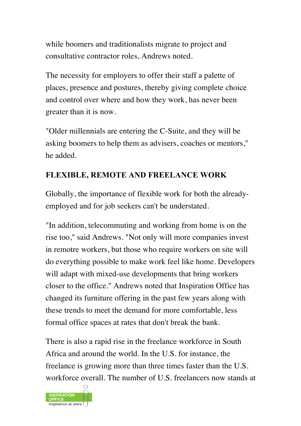while boomers and traditionalists migrate to project and consultative contractor roles, Andrews noted.

The necessity for employers to offer their staff a palette of places, presence and postures, thereby giving complete choice and control over where and how they work, has never been greater than it is now.

"Older millennials are entering the C-Suite, and they will be asking boomers to help them as advisers, coaches or mentors," he added.

# **FLEXIBLE, REMOTE AND FREELANCE WORK**

Globally, the importance of flexible work for both the alreadyemployed and for job seekers can't be understated.

"In addition, telecommuting and working from home is on the rise too," said Andrews. "Not only will more companies invest in remotre workers, but those who require workers on site will do everything possible to make work feel like home. Developers will adapt with mixed-use developments that bring workers closer to the office." Andrews noted that Inspiration Office has changed its furniture offering in the past few years along with these trends to meet the demand for more comfortable, less formal office spaces at rates that don't break the bank.

There is also a rapid rise in the freelance workforce in South Africa and around the world. In the U.S. for instance, the freelance is growing more than three times faster than the U.S. workforce overall. The number of U.S. freelancers now stands at